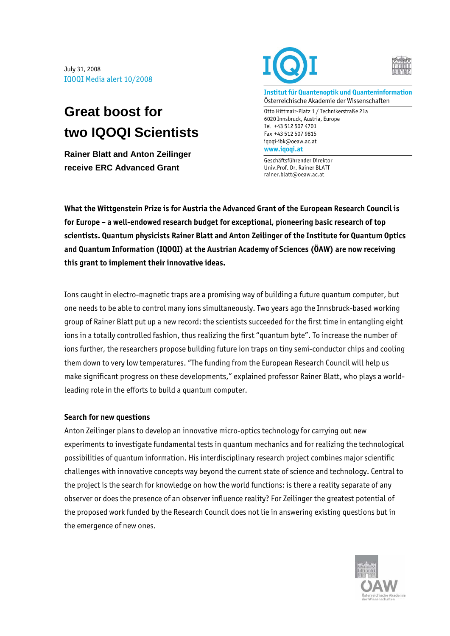July 31, 2008 IQOQI Media alert 10/2008

## **Great boost for two IQOQI Scientists**

**Rainer Blatt and Anton Zeilinger receive ERC Advanced Grant** 





**Institut für Quantenoptik und Quanteninformation**  Österreichische Akademie der Wissenschaften

Otto Hittmair-Platz 1 / Technikerstraße 21a 6020 Innsbruck, Austria, Europe Tel +43 512 507 4701 Fax +43 512 507 9815 iqoqi-ibk@oeaw.ac.at **www.iqoqi.at** 

Geschäftsführender Direktor Univ.Prof. Dr. Rainer BLATT rainer.blatt@oeaw.ac.at

**What the Wittgenstein Prize is for Austria the Advanced Grant of the European Research Council is for Europe – a well-endowed research budget for exceptional, pioneering basic research of top scientists. Quantum physicists Rainer Blatt and Anton Zeilinger of the Institute for Quantum Optics and Quantum Information (IQOQI) at the Austrian Academy of Sciences (ÖAW) are now receiving this grant to implement their innovative ideas.** 

Ions caught in electro-magnetic traps are a promising way of building a future quantum computer, but one needs to be able to control many ions simultaneously. Two years ago the Innsbruck-based working group of Rainer Blatt put up a new record: the scientists succeeded for the first time in entangling eight ions in a totally controlled fashion, thus realizing the first "quantum byte". To increase the number of ions further, the researchers propose building future ion traps on tiny semi-conductor chips and cooling them down to very low temperatures. "The funding from the European Research Council will help us make significant progress on these developments," explained professor Rainer Blatt, who plays a worldleading role in the efforts to build a quantum computer.

## **Search for new questions**

Anton Zeilinger plans to develop an innovative micro-optics technology for carrying out new experiments to investigate fundamental tests in quantum mechanics and for realizing the technological possibilities of quantum information. His interdisciplinary research project combines major scientific challenges with innovative concepts way beyond the current state of science and technology. Central to the project is the search for knowledge on how the world functions: is there a reality separate of any observer or does the presence of an observer influence reality? For Zeilinger the greatest potential of the proposed work funded by the Research Council does not lie in answering existing questions but in the emergence of new ones.